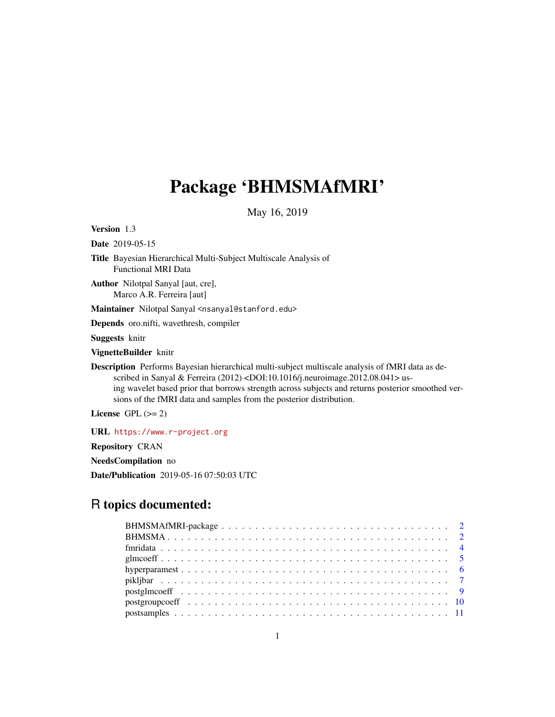## Package 'BHMSMAfMRI'

May 16, 2019

<span id="page-0-0"></span>Version 1.3

Date 2019-05-15

Title Bayesian Hierarchical Multi-Subject Multiscale Analysis of Functional MRI Data

Author Nilotpal Sanyal [aut, cre], Marco A.R. Ferreira [aut]

Maintainer Nilotpal Sanyal <nsanyal@stanford.edu>

Depends oro.nifti, wavethresh, compiler

Suggests knitr

VignetteBuilder knitr

Description Performs Bayesian hierarchical multi-subject multiscale analysis of fMRI data as described in Sanyal & Ferreira (2012) <DOI:10.1016/j.neuroimage.2012.08.041> using wavelet based prior that borrows strength across subjects and returns posterior smoothed versions of the fMRI data and samples from the posterior distribution.

License GPL  $(>= 2)$ 

URL <https://www.r-project.org>

Repository CRAN

NeedsCompilation no

Date/Publication 2019-05-16 07:50:03 UTC

## R topics documented: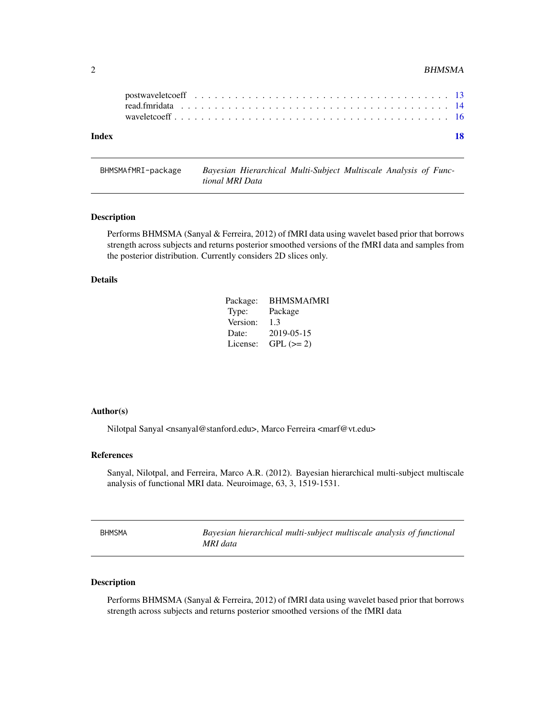#### <span id="page-1-0"></span> $2 \t\t BHMSMA$

| Index |  |  |  |  |  |  |  |  |  |  |  |  |  |  |  |  |  |  | 18 |
|-------|--|--|--|--|--|--|--|--|--|--|--|--|--|--|--|--|--|--|----|

BHMSMAfMRI-package *Bayesian Hierarchical Multi-Subject Multiscale Analysis of Functional MRI Data*

#### Description

Performs BHMSMA (Sanyal & Ferreira, 2012) of fMRI data using wavelet based prior that borrows strength across subjects and returns posterior smoothed versions of the fMRI data and samples from the posterior distribution. Currently considers 2D slices only.

#### Details

| Package: | <b>BHMSMAfMRI</b> |
|----------|-------------------|
| Type:    | Package           |
| Version: | 1.3               |
| Date:    | 2019-05-15        |
| License: | $GPL (= 2)$       |

### Author(s)

Nilotpal Sanyal <nsanyal@stanford.edu>, Marco Ferreira <marf@vt.edu>

## References

Sanyal, Nilotpal, and Ferreira, Marco A.R. (2012). Bayesian hierarchical multi-subject multiscale analysis of functional MRI data. Neuroimage, 63, 3, 1519-1531.

| <b>BHMSMA</b> | Bayesian hierarchical multi-subject multiscale analysis of functional |
|---------------|-----------------------------------------------------------------------|
|               | MRI data                                                              |

## Description

Performs BHMSMA (Sanyal & Ferreira, 2012) of fMRI data using wavelet based prior that borrows strength across subjects and returns posterior smoothed versions of the fMRI data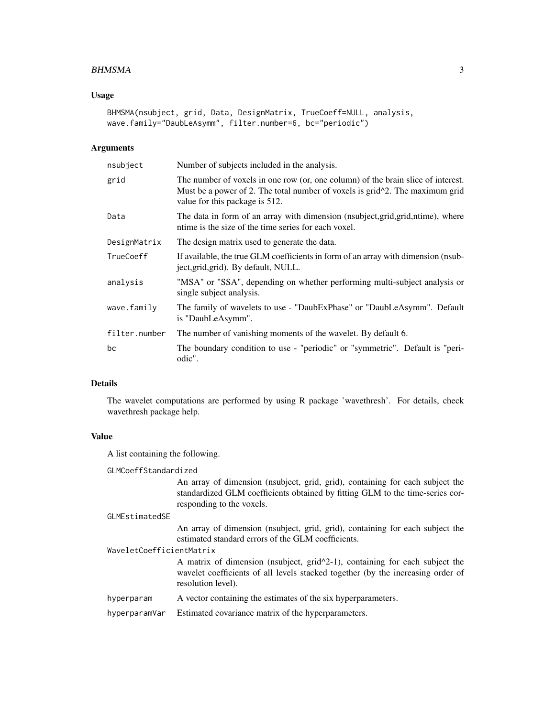#### BHMSMA 3

#### Usage

```
BHMSMA(nsubject, grid, Data, DesignMatrix, TrueCoeff=NULL, analysis,
wave.family="DaubLeAsymm", filter.number=6, bc="periodic")
```
#### **Arguments**

| nsubject      | Number of subjects included in the analysis.                                                                                                                                                                    |
|---------------|-----------------------------------------------------------------------------------------------------------------------------------------------------------------------------------------------------------------|
| grid          | The number of voxels in one row (or, one column) of the brain slice of interest.<br>Must be a power of 2. The total number of voxels is grid <sup>1</sup> 2. The maximum grid<br>value for this package is 512. |
| Data          | The data in form of an array with dimension (nsubject, grid, grid, ntime), where<br>ntime is the size of the time series for each voxel.                                                                        |
| DesignMatrix  | The design matrix used to generate the data.                                                                                                                                                                    |
| TrueCoeff     | If available, the true GLM coefficients in form of an array with dimension (nsub-<br>ject, grid, grid). By default, NULL.                                                                                       |
| analysis      | "MSA" or "SSA", depending on whether performing multi-subject analysis or<br>single subject analysis.                                                                                                           |
| wave.family   | The family of wavelets to use - "DaubExPhase" or "DaubLeAsymm". Default<br>is "DaubLeAsymm".                                                                                                                    |
| filter.number | The number of vanishing moments of the wavelet. By default 6.                                                                                                                                                   |
| bc            | The boundary condition to use - "periodic" or "symmetric". Default is "peri-<br>odic".                                                                                                                          |

## Details

The wavelet computations are performed by using R package 'wavethresh'. For details, check wavethresh package help.

## Value

A list containing the following.

GLMCoeffStandardized

An array of dimension (nsubject, grid, grid), containing for each subject the standardized GLM coefficients obtained by fitting GLM to the time-series corresponding to the voxels.

#### GLMEstimatedSE

An array of dimension (nsubject, grid, grid), containing for each subject the estimated standard errors of the GLM coefficients.

WaveletCoefficientMatrix

A matrix of dimension (nsubject, grid^2-1), containing for each subject the wavelet coefficients of all levels stacked together (by the increasing order of resolution level).

hyperparam A vector containing the estimates of the six hyperparameters.

hyperparamVar Estimated covariance matrix of the hyperparameters.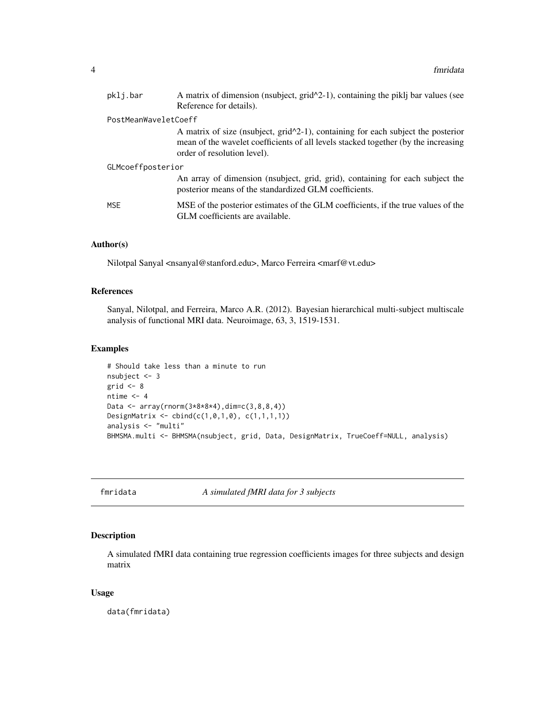<span id="page-3-0"></span>

| pklj.bar             | A matrix of dimension (nsubject, $grid^2-1$ ), containing the piklj bar values (see<br>Reference for details).                                                                                           |
|----------------------|----------------------------------------------------------------------------------------------------------------------------------------------------------------------------------------------------------|
| PostMeanWaveletCoeff |                                                                                                                                                                                                          |
|                      | A matrix of size (nsubject, $grid^2-1$ ), containing for each subject the posterior<br>mean of the wavelet coefficients of all levels stacked together (by the increasing<br>order of resolution level). |
| GLMcoeffposterior    |                                                                                                                                                                                                          |
|                      | An array of dimension (nsubject, grid, grid), containing for each subject the<br>posterior means of the standardized GLM coefficients.                                                                   |
| MSE                  | MSE of the posterior estimates of the GLM coefficients, if the true values of the<br>GLM coefficients are available.                                                                                     |

## Author(s)

Nilotpal Sanyal <nsanyal@stanford.edu>, Marco Ferreira <marf@vt.edu>

#### References

Sanyal, Nilotpal, and Ferreira, Marco A.R. (2012). Bayesian hierarchical multi-subject multiscale analysis of functional MRI data. Neuroimage, 63, 3, 1519-1531.

## Examples

```
# Should take less than a minute to run
nsubject <- 3
grid <-8ntime <-4Data <- array(rnorm(3*8*8*4),dim=c(3,8,8,4))
DesignMatrix <- cbind(c(1,0,1,0), c(1,1,1,1))
analysis <- "multi"
BHMSMA.multi <- BHMSMA(nsubject, grid, Data, DesignMatrix, TrueCoeff=NULL, analysis)
```
fmridata *A simulated fMRI data for 3 subjects*

### Description

A simulated fMRI data containing true regression coefficients images for three subjects and design matrix

## Usage

data(fmridata)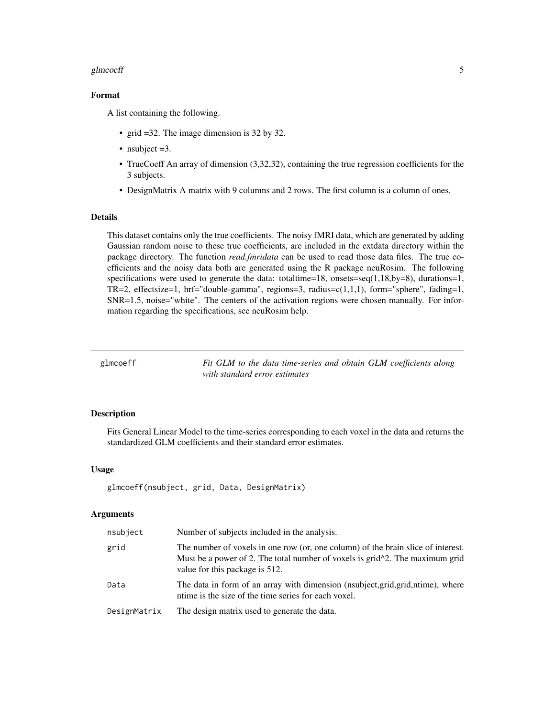#### <span id="page-4-0"></span>glmcoeff 5

## Format

A list containing the following.

- grid =32. The image dimension is 32 by 32.
- nsubject = 3.
- TrueCoeff An array of dimension (3,32,32), containing the true regression coefficients for the 3 subjects.
- DesignMatrix A matrix with 9 columns and 2 rows. The first column is a column of ones.

#### Details

This dataset contains only the true coefficients. The noisy fMRI data, which are generated by adding Gaussian random noise to these true coefficients, are included in the extdata directory within the package directory. The function *read.fmridata* can be used to read those data files. The true coefficients and the noisy data both are generated using the R package neuRosim. The following specifications were used to generate the data: total time=18, onsets=seq $(1,18,by=8)$ , durations=1, TR=2, effectsize=1, hrf="double-gamma", regions=3, radius= $c(1,1,1)$ , form="sphere", fading=1, SNR=1.5, noise="white". The centers of the activation regions were chosen manually. For information regarding the specifications, see neuRosim help.

| glmcoeff | Fit GLM to the data time-series and obtain GLM coefficients along |
|----------|-------------------------------------------------------------------|
|          | with standard error estimates                                     |

## **Description**

Fits General Linear Model to the time-series corresponding to each voxel in the data and returns the standardized GLM coefficients and their standard error estimates.

#### Usage

```
glmcoeff(nsubject, grid, Data, DesignMatrix)
```
#### Arguments

| nsubject     | Number of subjects included in the analysis.                                                                                                                                                          |
|--------------|-------------------------------------------------------------------------------------------------------------------------------------------------------------------------------------------------------|
| grid         | The number of voxels in one row (or, one column) of the brain slice of interest.<br>Must be a power of 2. The total number of voxels is $grid^2$ . The maximum grid<br>value for this package is 512. |
| Data         | The data in form of an array with dimension (nsubject, grid, grid, ntime), where<br>ntime is the size of the time series for each voxel.                                                              |
| DesignMatrix | The design matrix used to generate the data.                                                                                                                                                          |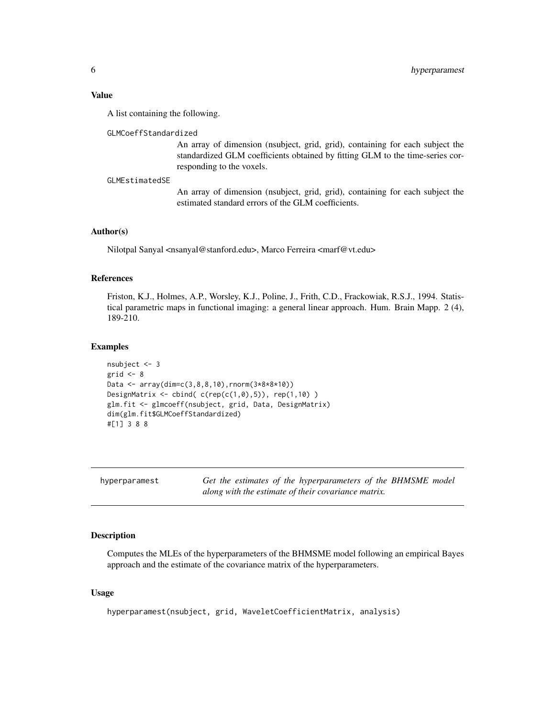## <span id="page-5-0"></span>Value

A list containing the following.

#### GLMCoeffStandardized

An array of dimension (nsubject, grid, grid), containing for each subject the standardized GLM coefficients obtained by fitting GLM to the time-series corresponding to the voxels.

#### GLMEstimatedSE

An array of dimension (nsubject, grid, grid), containing for each subject the estimated standard errors of the GLM coefficients.

#### Author(s)

Nilotpal Sanyal <nsanyal@stanford.edu>, Marco Ferreira <marf@vt.edu>

## References

Friston, K.J., Holmes, A.P., Worsley, K.J., Poline, J., Frith, C.D., Frackowiak, R.S.J., 1994. Statistical parametric maps in functional imaging: a general linear approach. Hum. Brain Mapp. 2 (4), 189-210.

#### Examples

```
nsubject <- 3
grid <-8Data <- array(dim=c(3,8,8,10),rnorm(3*8*8*10))
DesignMatrix \leq cbind( c(rep(c(1,0),5)), rep(1,10) )
glm.fit <- glmcoeff(nsubject, grid, Data, DesignMatrix)
dim(glm.fit$GLMCoeffStandardized)
#[1] 3 8 8
```

|  | hyperparamest |
|--|---------------|
|--|---------------|

Get the estimates of the hyperparameters of the BHMSME model *along with the estimate of their covariance matrix.*

## Description

Computes the MLEs of the hyperparameters of the BHMSME model following an empirical Bayes approach and the estimate of the covariance matrix of the hyperparameters.

#### Usage

```
hyperparamest(nsubject, grid, WaveletCoefficientMatrix, analysis)
```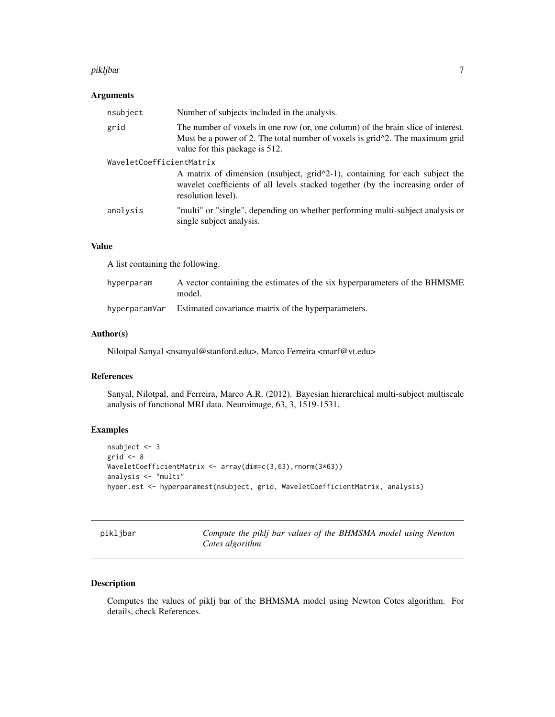#### <span id="page-6-0"></span>pikljbar 7

## Arguments

| nsubject                 | Number of subjects included in the analysis.                                                                                                                                                                    |  |  |  |  |
|--------------------------|-----------------------------------------------------------------------------------------------------------------------------------------------------------------------------------------------------------------|--|--|--|--|
| grid                     | The number of voxels in one row (or, one column) of the brain slice of interest.<br>Must be a power of 2. The total number of voxels is grid <sup>1</sup> 2. The maximum grid<br>value for this package is 512. |  |  |  |  |
| WaveletCoefficientMatrix |                                                                                                                                                                                                                 |  |  |  |  |
|                          | A matrix of dimension (nsubject, $grid^2-1$ ), containing for each subject the<br>wavelet coefficients of all levels stacked together (by the increasing order of<br>resolution level).                         |  |  |  |  |
| analysis                 | "multi" or "single", depending on whether performing multi-subject analysis or<br>single subject analysis.                                                                                                      |  |  |  |  |

## Value

A list containing the following.

| hyperparam    | A vector containing the estimates of the six hyperparameters of the BHMSME<br>model. |
|---------------|--------------------------------------------------------------------------------------|
| hyperparamVar | Estimated covariance matrix of the hyperparameters.                                  |

## Author(s)

Nilotpal Sanyal <nsanyal@stanford.edu>, Marco Ferreira <marf@vt.edu>

#### References

Sanyal, Nilotpal, and Ferreira, Marco A.R. (2012). Bayesian hierarchical multi-subject multiscale analysis of functional MRI data. Neuroimage, 63, 3, 1519-1531.

## Examples

```
nsubject <- 3
grid <-8WaveletCoefficientMatrix <- array(dim=c(3,63), rnorm(3*63))
analysis <- "multi"
hyper.est <- hyperparamest(nsubject, grid, WaveletCoefficientMatrix, analysis)
```
pikljbar *Compute the piklj bar values of the BHMSMA model using Newton Cotes algorithm*

## Description

Computes the values of piklj bar of the BHMSMA model using Newton Cotes algorithm. For details, check References.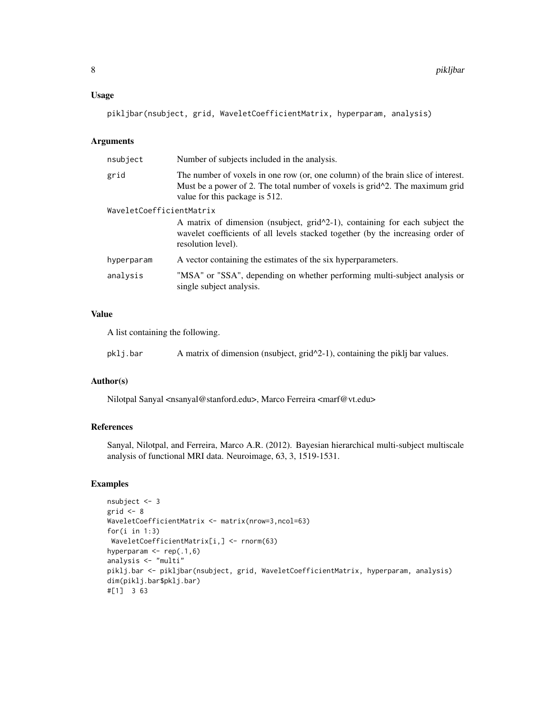#### Usage

pikljbar(nsubject, grid, WaveletCoefficientMatrix, hyperparam, analysis)

## Arguments

| nsubject                 | Number of subjects included in the analysis.                                                                                                                                                          |  |  |  |  |
|--------------------------|-------------------------------------------------------------------------------------------------------------------------------------------------------------------------------------------------------|--|--|--|--|
| grid                     | The number of voxels in one row (or, one column) of the brain slice of interest.<br>Must be a power of 2. The total number of voxels is $grid^2$ . The maximum grid<br>value for this package is 512. |  |  |  |  |
| WaveletCoefficientMatrix |                                                                                                                                                                                                       |  |  |  |  |
|                          | A matrix of dimension (nsubject, $grid^2-1$ ), containing for each subject the<br>wavelet coefficients of all levels stacked together (by the increasing order of<br>resolution level).               |  |  |  |  |
| hyperparam               | A vector containing the estimates of the six hyperparameters.                                                                                                                                         |  |  |  |  |
| analysis                 | "MSA" or "SSA", depending on whether performing multi-subject analysis or<br>single subject analysis.                                                                                                 |  |  |  |  |
|                          |                                                                                                                                                                                                       |  |  |  |  |

## Value

A list containing the following.

| pklj.bar |  |  | A matrix of dimension (nsubject, $grid^2-1$ ), containing the piklj bar values. |
|----------|--|--|---------------------------------------------------------------------------------|
|----------|--|--|---------------------------------------------------------------------------------|

## Author(s)

Nilotpal Sanyal <nsanyal@stanford.edu>, Marco Ferreira <marf@vt.edu>

## References

Sanyal, Nilotpal, and Ferreira, Marco A.R. (2012). Bayesian hierarchical multi-subject multiscale analysis of functional MRI data. Neuroimage, 63, 3, 1519-1531.

## Examples

```
nsubject <- 3
grid <-8WaveletCoefficientMatrix <- matrix(nrow=3,ncol=63)
for(i in 1:3)
WaveletCoefficientMatrix[i,] <- rnorm(63)
hyperparam <- rep(.1,6)
analysis <- "multi"
piklj.bar <- pikljbar(nsubject, grid, WaveletCoefficientMatrix, hyperparam, analysis)
dim(piklj.bar$pklj.bar)
#[1] 3 63
```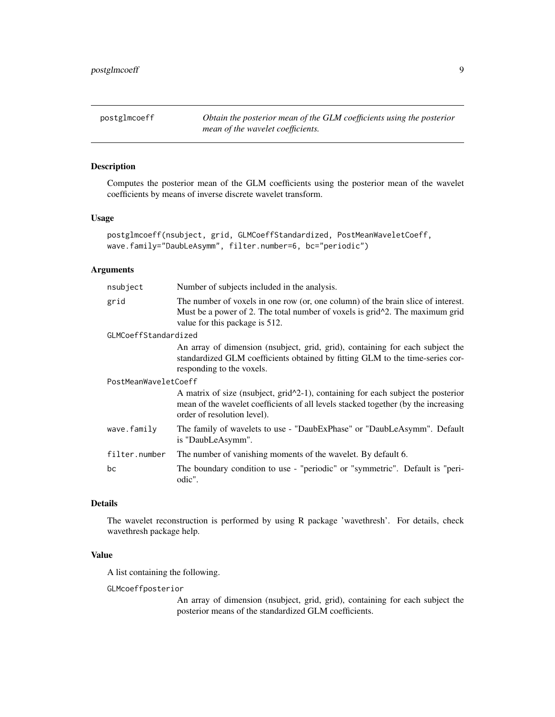<span id="page-8-0"></span>postglmcoeff *Obtain the posterior mean of the GLM coefficients using the posterior mean of the wavelet coefficients.*

## Description

Computes the posterior mean of the GLM coefficients using the posterior mean of the wavelet coefficients by means of inverse discrete wavelet transform.

#### Usage

```
postglmcoeff(nsubject, grid, GLMCoeffStandardized, PostMeanWaveletCoeff,
wave.family="DaubLeAsymm", filter.number=6, bc="periodic")
```
#### Arguments

| nsubject             | Number of subjects included in the analysis.                                                                                                                                                                                       |
|----------------------|------------------------------------------------------------------------------------------------------------------------------------------------------------------------------------------------------------------------------------|
| grid                 | The number of voxels in one row (or, one column) of the brain slice of interest.<br>Must be a power of 2. The total number of voxels is grid <sup><math>\lambda</math></sup> 2. The maximum grid<br>value for this package is 512. |
| GLMCoeffStandardized |                                                                                                                                                                                                                                    |
|                      | An array of dimension (nsubject, grid, grid), containing for each subject the<br>standardized GLM coefficients obtained by fitting GLM to the time-series cor-<br>responding to the voxels.                                        |
| PostMeanWaveletCoeff |                                                                                                                                                                                                                                    |
|                      | A matrix of size (nsubject, $grid^2-1$ ), containing for each subject the posterior<br>mean of the wavelet coefficients of all levels stacked together (by the increasing<br>order of resolution level).                           |
| wave.family          | The family of wavelets to use - "DaubExPhase" or "DaubLeAsymm". Default<br>is "DaubLeAsymm".                                                                                                                                       |
| filter.number        | The number of vanishing moments of the wavelet. By default 6.                                                                                                                                                                      |
| bc                   | The boundary condition to use - "periodic" or "symmetric". Default is "peri-<br>odic".                                                                                                                                             |

## Details

The wavelet reconstruction is performed by using R package 'wavethresh'. For details, check wavethresh package help.

## Value

A list containing the following.

GLMcoeffposterior

An array of dimension (nsubject, grid, grid), containing for each subject the posterior means of the standardized GLM coefficients.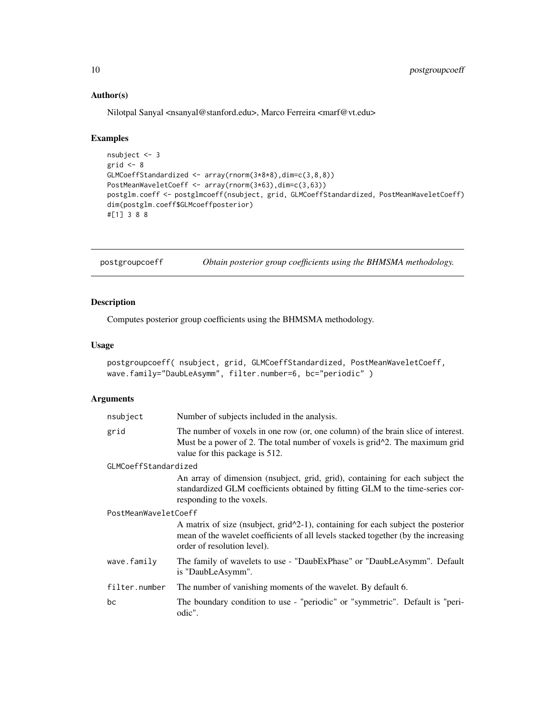## Author(s)

Nilotpal Sanyal <nsanyal@stanford.edu>, Marco Ferreira <marf@vt.edu>

#### Examples

```
nsubject <- 3
grid <-8GLMCoeffStandardized <- array(rnorm(3*8*8),dim=c(3,8,8))
PostMeanWaveletCoeff <- array(rnorm(3*63),dim=c(3,63))
postglm.coeff <- postglmcoeff(nsubject, grid, GLMCoeffStandardized, PostMeanWaveletCoeff)
dim(postglm.coeff$GLMcoeffposterior)
#[1] 3 8 8
```
postgroupcoeff *Obtain posterior group coefficients using the BHMSMA methodology.*

## Description

Computes posterior group coefficients using the BHMSMA methodology.

## Usage

```
postgroupcoeff( nsubject, grid, GLMCoeffStandardized, PostMeanWaveletCoeff,
wave.family="DaubLeAsymm", filter.number=6, bc="periodic" )
```
## Arguments

| nsubject             | Number of subjects included in the analysis.                                                                                                                                                                                       |
|----------------------|------------------------------------------------------------------------------------------------------------------------------------------------------------------------------------------------------------------------------------|
| grid                 | The number of voxels in one row (or, one column) of the brain slice of interest.<br>Must be a power of 2. The total number of voxels is grid <sup><math>\lambda</math></sup> 2. The maximum grid<br>value for this package is 512. |
| GLMCoeffStandardized |                                                                                                                                                                                                                                    |
|                      | An array of dimension (nsubject, grid, grid), containing for each subject the<br>standardized GLM coefficients obtained by fitting GLM to the time-series cor-<br>responding to the voxels.                                        |
| PostMeanWaveletCoeff |                                                                                                                                                                                                                                    |
|                      | A matrix of size (nsubject, $grid^2-1$ ), containing for each subject the posterior<br>mean of the wavelet coefficients of all levels stacked together (by the increasing<br>order of resolution level).                           |
| wave.family          | The family of wavelets to use - "DaubExPhase" or "DaubLeAsymm". Default<br>is "DaubLeAsymm".                                                                                                                                       |
| filter.number        | The number of vanishing moments of the wavelet. By default 6.                                                                                                                                                                      |
| bc                   | The boundary condition to use - "periodic" or "symmetric". Default is "peri-<br>odic".                                                                                                                                             |

<span id="page-9-0"></span>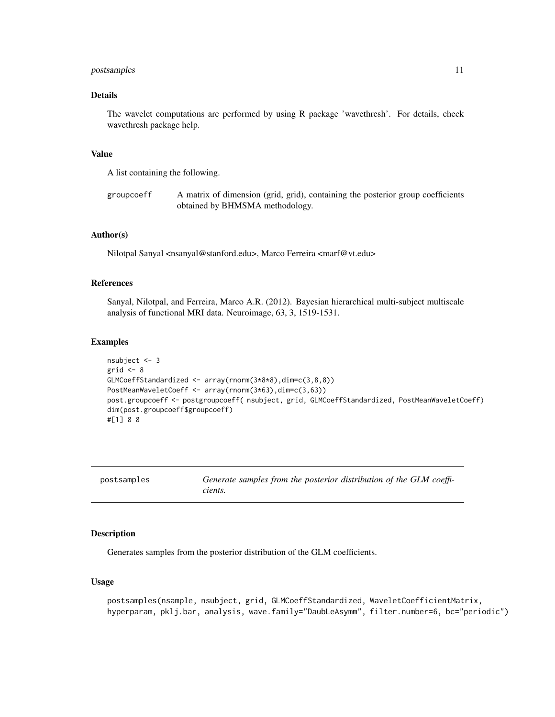#### <span id="page-10-0"></span>postsamples and the set of the set of the set of the set of the set of the set of the set of the set of the set of the set of the set of the set of the set of the set of the set of the set of the set of the set of the set

## Details

The wavelet computations are performed by using R package 'wavethresh'. For details, check wavethresh package help.

## Value

A list containing the following.

groupcoeff A matrix of dimension (grid, grid), containing the posterior group coefficients obtained by BHMSMA methodology.

## Author(s)

Nilotpal Sanyal <nsanyal@stanford.edu>, Marco Ferreira <marf@vt.edu>

## References

Sanyal, Nilotpal, and Ferreira, Marco A.R. (2012). Bayesian hierarchical multi-subject multiscale analysis of functional MRI data. Neuroimage, 63, 3, 1519-1531.

#### Examples

```
nsubject <- 3
grid <-8GLMCoeffStandardized <- array(rnorm(3*8*8),dim=c(3,8,8))
PostMeanWaveletCoeff <- array(rnorm(3*63),dim=c(3,63))
post.groupcoeff <- postgroupcoeff( nsubject, grid, GLMCoeffStandardized, PostMeanWaveletCoeff)
dim(post.groupcoeff$groupcoeff)
#[1] 8 8
```
postsamples *Generate samples from the posterior distribution of the GLM coefficients.*

#### Description

Generates samples from the posterior distribution of the GLM coefficients.

## Usage

```
postsamples(nsample, nsubject, grid, GLMCoeffStandardized, WaveletCoefficientMatrix,
hyperparam, pklj.bar, analysis, wave.family="DaubLeAsymm", filter.number=6, bc="periodic")
```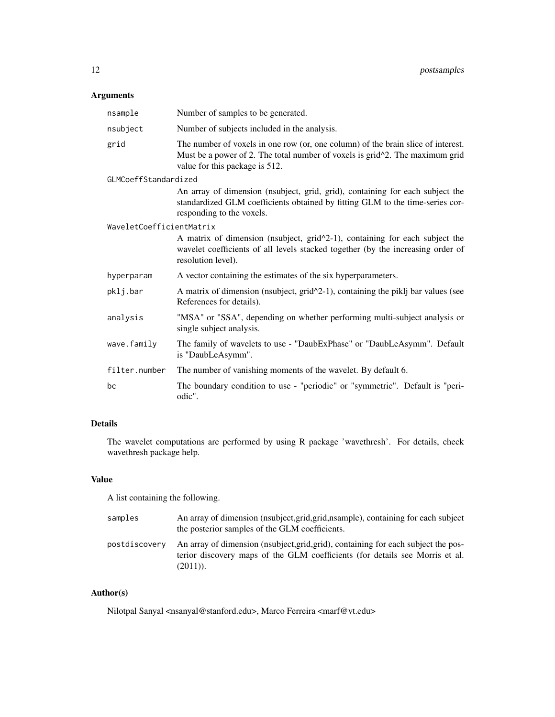## Arguments

| nsample                  | Number of samples to be generated.                                                                                                                                                                 |
|--------------------------|----------------------------------------------------------------------------------------------------------------------------------------------------------------------------------------------------|
| nsubject                 | Number of subjects included in the analysis.                                                                                                                                                       |
| grid                     | The number of voxels in one row (or, one column) of the brain slice of interest.<br>Must be a power of 2. The total number of voxels is grid^2. The maximum grid<br>value for this package is 512. |
| GLMCoeffStandardized     |                                                                                                                                                                                                    |
|                          | An array of dimension (nsubject, grid, grid), containing for each subject the<br>standardized GLM coefficients obtained by fitting GLM to the time-series cor-<br>responding to the voxels.        |
| WaveletCoefficientMatrix |                                                                                                                                                                                                    |
|                          | A matrix of dimension (nsubject, $grid^2-1$ ), containing for each subject the<br>wavelet coefficients of all levels stacked together (by the increasing order of<br>resolution level).            |
| hyperparam               | A vector containing the estimates of the six hyperparameters.                                                                                                                                      |
| pklj.bar                 | A matrix of dimension (nsubject, $grid^2-1$ ), containing the piklj bar values (see<br>References for details).                                                                                    |
| analysis                 | "MSA" or "SSA", depending on whether performing multi-subject analysis or<br>single subject analysis.                                                                                              |
| wave.family              | The family of wavelets to use - "DaubExPhase" or "DaubLeAsymm". Default<br>is "DaubLeAsymm".                                                                                                       |
| filter.number            | The number of vanishing moments of the wavelet. By default 6.                                                                                                                                      |
| bc                       | The boundary condition to use - "periodic" or "symmetric". Default is "peri-<br>odic".                                                                                                             |

## Details

The wavelet computations are performed by using R package 'wavethresh'. For details, check wavethresh package help.

## Value

A list containing the following.

| samples       | An array of dimension (nsubject, grid, grid, nsample), containing for each subject<br>the posterior samples of the GLM coefficients.                                             |
|---------------|----------------------------------------------------------------------------------------------------------------------------------------------------------------------------------|
| postdiscovery | An array of dimension (nsubject, grid, grid), containing for each subject the pos-<br>terior discovery maps of the GLM coefficients (for details see Morris et al.<br>$(2011)$ . |

## Author(s)

Nilotpal Sanyal <nsanyal@stanford.edu>, Marco Ferreira <marf@vt.edu>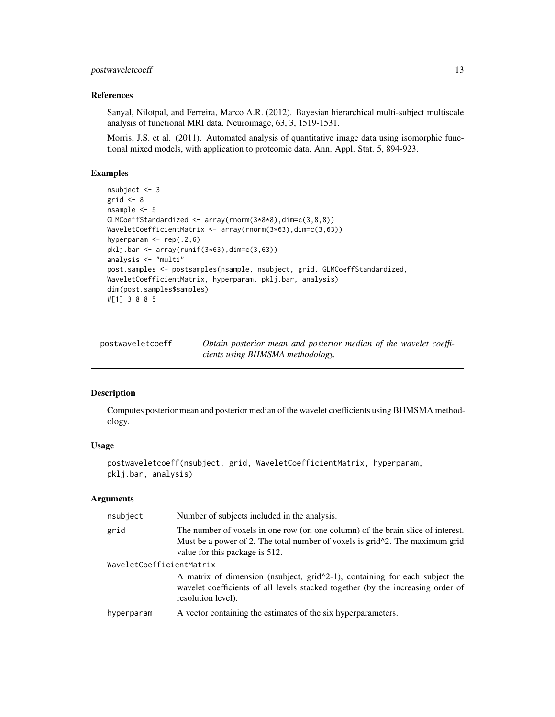## <span id="page-12-0"></span>postwaveletcoeff 13

#### References

Sanyal, Nilotpal, and Ferreira, Marco A.R. (2012). Bayesian hierarchical multi-subject multiscale analysis of functional MRI data. Neuroimage, 63, 3, 1519-1531.

Morris, J.S. et al. (2011). Automated analysis of quantitative image data using isomorphic functional mixed models, with application to proteomic data. Ann. Appl. Stat. 5, 894-923.

#### Examples

```
nsubject <- 3
grid <-8nsample <- 5
GLMCoeffStandardized <- array(rnorm(3*8*8),dim=c(3,8,8))
WaveletCoefficientMatrix <- array(rnorm(3*63),dim=c(3,63))
hyperparam <- rep(.2,6)
pklj.bar <- array(runif(3*63),dim=c(3,63))
analysis <- "multi"
post.samples <- postsamples(nsample, nsubject, grid, GLMCoeffStandardized,
WaveletCoefficientMatrix, hyperparam, pklj.bar, analysis)
dim(post.samples$samples)
#[1] 3 8 8 5
```
postwaveletcoeff *Obtain posterior mean and posterior median of the wavelet coefficients using BHMSMA methodology.*

## Description

Computes posterior mean and posterior median of the wavelet coefficients using BHMSMA methodology.

## Usage

```
postwaveletcoeff(nsubject, grid, WaveletCoefficientMatrix, hyperparam,
pklj.bar, analysis)
```
## Arguments

| nsubject                 | Number of subjects included in the analysis.                                                                                                                                                          |
|--------------------------|-------------------------------------------------------------------------------------------------------------------------------------------------------------------------------------------------------|
| grid                     | The number of voxels in one row (or, one column) of the brain slice of interest.<br>Must be a power of 2. The total number of voxels is $grid^2$ . The maximum grid<br>value for this package is 512. |
| WaveletCoefficientMatrix | A matrix of dimension (nsubject, $grid^2-1$ ), containing for each subject the<br>wavelet coefficients of all levels stacked together (by the increasing order of<br>resolution level).               |
| hyperparam               | A vector containing the estimates of the six hyperparameters.                                                                                                                                         |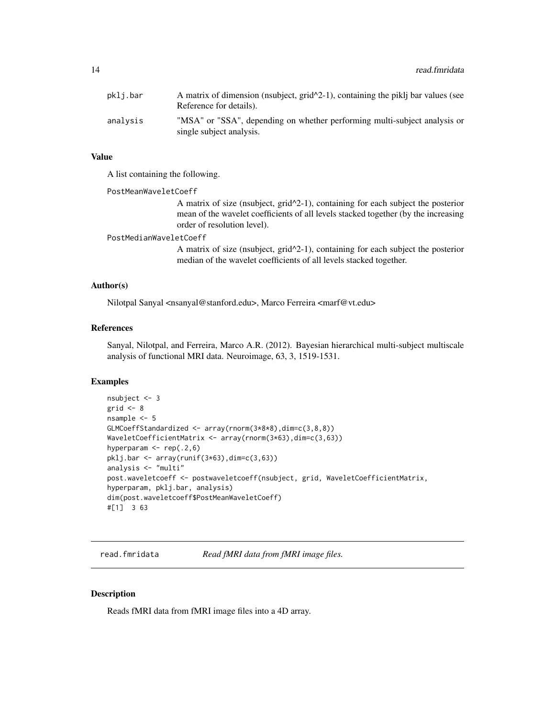<span id="page-13-0"></span>

| pkli.bar | A matrix of dimension (nsubject, $grid^2-1$ ), containing the piklj bar values (see<br>Reference for details). |
|----------|----------------------------------------------------------------------------------------------------------------|
| analysis | "MSA" or "SSA", depending on whether performing multi-subject analysis or<br>single subject analysis.          |

#### Value

A list containing the following.

PostMeanWaveletCoeff

A matrix of size (nsubject, grid^2-1), containing for each subject the posterior mean of the wavelet coefficients of all levels stacked together (by the increasing order of resolution level).

#### PostMedianWaveletCoeff

A matrix of size (nsubject, grid^2-1), containing for each subject the posterior median of the wavelet coefficients of all levels stacked together.

#### Author(s)

Nilotpal Sanyal <nsanyal@stanford.edu>, Marco Ferreira <marf@vt.edu>

## References

Sanyal, Nilotpal, and Ferreira, Marco A.R. (2012). Bayesian hierarchical multi-subject multiscale analysis of functional MRI data. Neuroimage, 63, 3, 1519-1531.

#### Examples

```
nsubject <- 3
grid <-8nsample <- 5
GLMCoeffStandardized <- array(rnorm(3*8*8),dim=c(3,8,8))
WaveletCoefficientMatrix <- array(rnorm(3*63),dim=c(3,63))
hyperparam <- rep(.2,6)
pklj.bar <- array(runif(3*63),dim=c(3,63))
analysis <- "multi"
post.waveletcoeff <- postwaveletcoeff(nsubject, grid, WaveletCoefficientMatrix,
hyperparam, pklj.bar, analysis)
dim(post.waveletcoeff$PostMeanWaveletCoeff)
#[1] 3 63
```
read.fmridata *Read fMRI data from fMRI image files.*

## Description

Reads fMRI data from fMRI image files into a 4D array.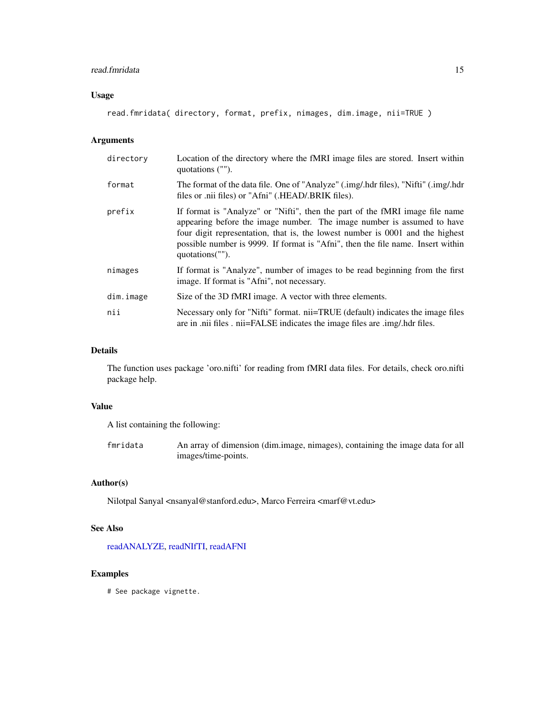## <span id="page-14-0"></span>read.fmridata 15

## Usage

```
read.fmridata( directory, format, prefix, nimages, dim.image, nii=TRUE )
```
## Arguments

| directory | Location of the directory where the fMRI image files are stored. Insert within<br>quotations ("").                                                                                                                                                                                                                                            |
|-----------|-----------------------------------------------------------------------------------------------------------------------------------------------------------------------------------------------------------------------------------------------------------------------------------------------------------------------------------------------|
| format    | The format of the data file. One of "Analyze" (.img/.hdr files), "Nifti" (.img/.hdr<br>files or .nii files) or "Afni" (.HEAD/.BRIK files).                                                                                                                                                                                                    |
| prefix    | If format is "Analyze" or "Nifti", then the part of the fMRI image file name<br>appearing before the image number. The image number is assumed to have<br>four digit representation, that is, the lowest number is 0001 and the highest<br>possible number is 9999. If format is "Afni", then the file name. Insert within<br>quotations(""). |
| nimages   | If format is "Analyze", number of images to be read beginning from the first<br>image. If format is "Afni", not necessary.                                                                                                                                                                                                                    |
| dim.image | Size of the 3D fMRI image. A vector with three elements.                                                                                                                                                                                                                                                                                      |
| nii       | Necessary only for "Nifti" format. nii=TRUE (default) indicates the image files<br>are in .nii files . nii=FALSE indicates the image files are .img/.hdr files.                                                                                                                                                                               |

## Details

The function uses package 'oro.nifti' for reading from fMRI data files. For details, check oro.nifti package help.

## Value

A list containing the following:

fmridata An array of dimension (dim.image, nimages), containing the image data for all images/time-points.

## Author(s)

Nilotpal Sanyal <nsanyal@stanford.edu>, Marco Ferreira <marf@vt.edu>

## See Also

[readANALYZE,](#page-0-0) [readNIfTI,](#page-0-0) [readAFNI](#page-0-0)

## Examples

# See package vignette.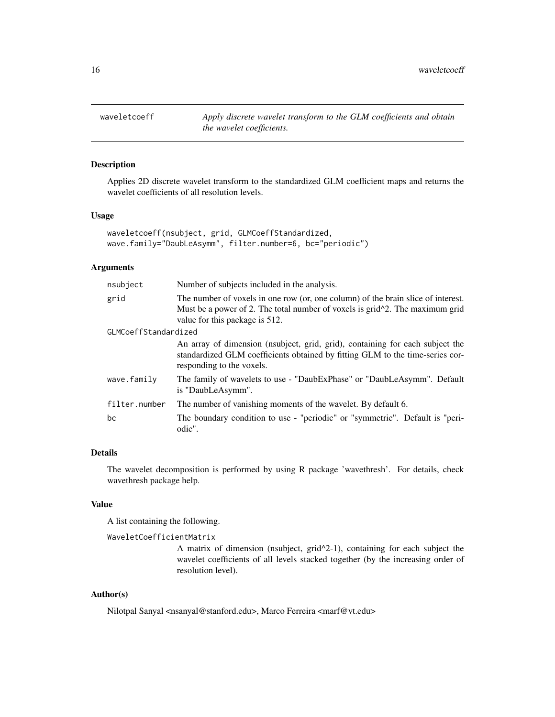<span id="page-15-0"></span>waveletcoeff *Apply discrete wavelet transform to the GLM coefficients and obtain the wavelet coefficients.*

## Description

Applies 2D discrete wavelet transform to the standardized GLM coefficient maps and returns the wavelet coefficients of all resolution levels.

## Usage

```
waveletcoeff(nsubject, grid, GLMCoeffStandardized,
wave.family="DaubLeAsymm", filter.number=6, bc="periodic")
```
#### Arguments

| nsubject             | Number of subjects included in the analysis.                                                                                                                                                       |
|----------------------|----------------------------------------------------------------------------------------------------------------------------------------------------------------------------------------------------|
| grid                 | The number of voxels in one row (or, one column) of the brain slice of interest.<br>Must be a power of 2. The total number of voxels is grid^2. The maximum grid<br>value for this package is 512. |
| GLMCoeffStandardized |                                                                                                                                                                                                    |
|                      | An array of dimension (nsubject, grid, grid), containing for each subject the<br>standardized GLM coefficients obtained by fitting GLM to the time-series cor-<br>responding to the voxels.        |
| wave.family          | The family of wavelets to use - "DaubExPhase" or "DaubLeAsymm". Default<br>is "DaubLeAsymm".                                                                                                       |
| filter.number        | The number of vanishing moments of the wavelet. By default 6.                                                                                                                                      |
| bc                   | The boundary condition to use - "periodic" or "symmetric". Default is "peri-<br>odic".                                                                                                             |

## Details

The wavelet decomposition is performed by using R package 'wavethresh'. For details, check wavethresh package help.

## Value

A list containing the following.

```
WaveletCoefficientMatrix
```
A matrix of dimension (nsubject, grid^2-1), containing for each subject the wavelet coefficients of all levels stacked together (by the increasing order of resolution level).

## Author(s)

Nilotpal Sanyal <nsanyal@stanford.edu>, Marco Ferreira <marf@vt.edu>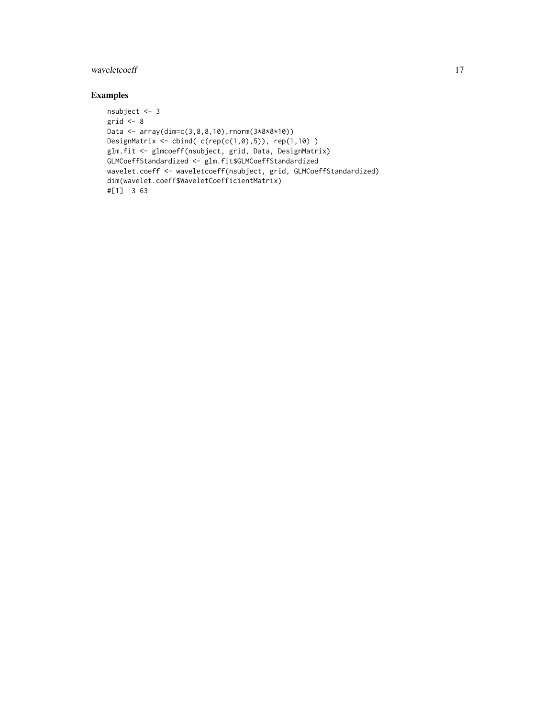## waveletcoeff and the state of the state of the state of the state of the state of the state of the state of the state of the state of the state of the state of the state of the state of the state of the state of the state

## Examples

```
nsubject <- 3
grid <-8Data <- array(dim=c(3,8,8,10),rnorm(3*8*8*10))
DesignMatrix \le cbind( c(rep(c(1,0),5)), rep(1,10))
glm.fit <- glmcoeff(nsubject, grid, Data, DesignMatrix)
GLMCoeffStandardized <- glm.fit$GLMCoeffStandardized
wavelet.coeff <- waveletcoeff(nsubject, grid, GLMCoeffStandardized)
dim(wavelet.coeff$WaveletCoefficientMatrix)
#[1] 3 63
```